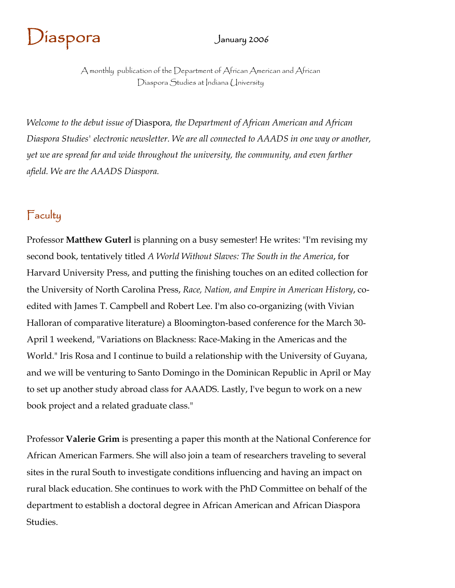# $J$ iaspora January 2006

A monthly publication of the Department of African American and African Diaspora Studies at Indiana University

*Welcome to the debut issue of* Diaspora*, the Department of African American and African Diaspora Studies' electronic newsletter. We are all connected to AAADS in one way or another, yet we are spread far and wide throughout the university, the community, and even farther afield. We are the AAADS Diaspora.* 

### **Faculty**

Professor **Matthew Guterl** is planning on a busy semester! He writes: "I'm revising my second book, tentatively titled *A World Without Slaves: The South in the America*, for Harvard University Press, and putting the finishing touches on an edited collection for the University of North Carolina Press, *Race, Nation, and Empire in American History*, coedited with James T. Campbell and Robert Lee. I'm also co-organizing (with Vivian Halloran of comparative literature) a Bloomington-based conference for the March 30- April 1 weekend, "Variations on Blackness: Race-Making in the Americas and the World." Iris Rosa and I continue to build a relationship with the University of Guyana, and we will be venturing to Santo Domingo in the Dominican Republic in April or May to set up another study abroad class for AAADS. Lastly, I've begun to work on a new book project and a related graduate class."

Professor **Valerie Grim** is presenting a paper this month at the National Conference for African American Farmers. She will also join a team of researchers traveling to several sites in the rural South to investigate conditions influencing and having an impact on rural black education. She continues to work with the PhD Committee on behalf of the department to establish a doctoral degree in African American and African Diaspora Studies.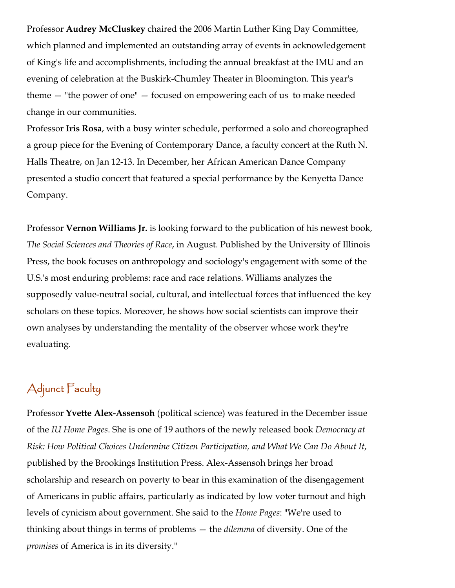Professor **Audrey McCluskey** chaired the 2006 Martin Luther King Day Committee, which planned and implemented an outstanding array of events in acknowledgement of King's life and accomplishments, including the annual breakfast at the IMU and an evening of celebration at the Buskirk-Chumley Theater in Bloomington. This year's theme — "the power of one" — focused on empowering each of us to make needed change in our communities.

Professor **Iris Rosa**, with a busy winter schedule, performed a solo and choreographed a group piece for the Evening of Contemporary Dance, a faculty concert at the Ruth N. Halls Theatre, on Jan 12-13. In December, her African American Dance Company presented a studio concert that featured a special performance by the Kenyetta Dance Company.

Professor **Vernon Williams Jr.** is looking forward to the publication of his newest book, *The Social Sciences and Theories of Race*, in August. Published by the University of Illinois Press, the book focuses on anthropology and sociology's engagement with some of the U.S.'s most enduring problems: race and race relations. Williams analyzes the supposedly value-neutral social, cultural, and intellectual forces that influenced the key scholars on these topics. Moreover, he shows how social scientists can improve their own analyses by understanding the mentality of the observer whose work they're evaluating.

## Adjunct Faculty

Professor **Yvette Alex-Assensoh** (political science) was featured in the December issue of the *IU Home Pages*. She is one of 19 authors of the newly released book *Democracy at Risk: How Political Choices Undermine Citizen Participation, and What We Can Do About It*, published by the Brookings Institution Press. Alex-Assensoh brings her broad scholarship and research on poverty to bear in this examination of the disengagement of Americans in public affairs, particularly as indicated by low voter turnout and high levels of cynicism about government. She said to the *Home Pages*: "We're used to thinking about things in terms of problems — the *dilemma* of diversity. One of the *promises* of America is in its diversity."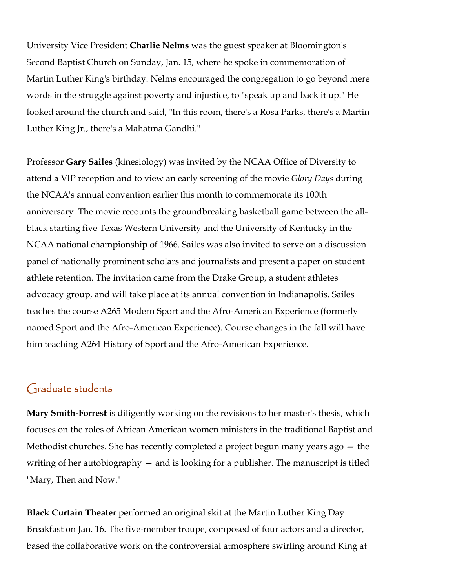University Vice President **Charlie Nelms** was the guest speaker at Bloomington's Second Baptist Church on Sunday, Jan. 15, where he spoke in commemoration of Martin Luther King's birthday. Nelms encouraged the congregation to go beyond mere words in the struggle against poverty and injustice, to "speak up and back it up." He looked around the church and said, "In this room, there's a Rosa Parks, there's a Martin Luther King Jr., there's a Mahatma Gandhi."

Professor **Gary Sailes** (kinesiology) was invited by the NCAA Office of Diversity to attend a VIP reception and to view an early screening of the movie *Glory Days* during the NCAA's annual convention earlier this month to commemorate its 100th anniversary. The movie recounts the groundbreaking basketball game between the allblack starting five Texas Western University and the University of Kentucky in the NCAA national championship of 1966. Sailes was also invited to serve on a discussion panel of nationally prominent scholars and journalists and present a paper on student athlete retention. The invitation came from the Drake Group, a student athletes advocacy group, and will take place at its annual convention in Indianapolis. Sailes teaches the course A265 Modern Sport and the Afro-American Experience (formerly named Sport and the Afro-American Experience). Course changes in the fall will have him teaching A264 History of Sport and the Afro-American Experience.

#### Graduate students

**Mary Smith-Forrest** is diligently working on the revisions to her master's thesis, which focuses on the roles of African American women ministers in the traditional Baptist and Methodist churches. She has recently completed a project begun many years ago — the writing of her autobiography – and is looking for a publisher. The manuscript is titled "Mary, Then and Now."

**Black Curtain Theater** performed an original skit at the Martin Luther King Day Breakfast on Jan. 16. The five-member troupe, composed of four actors and a director, based the collaborative work on the controversial atmosphere swirling around King at